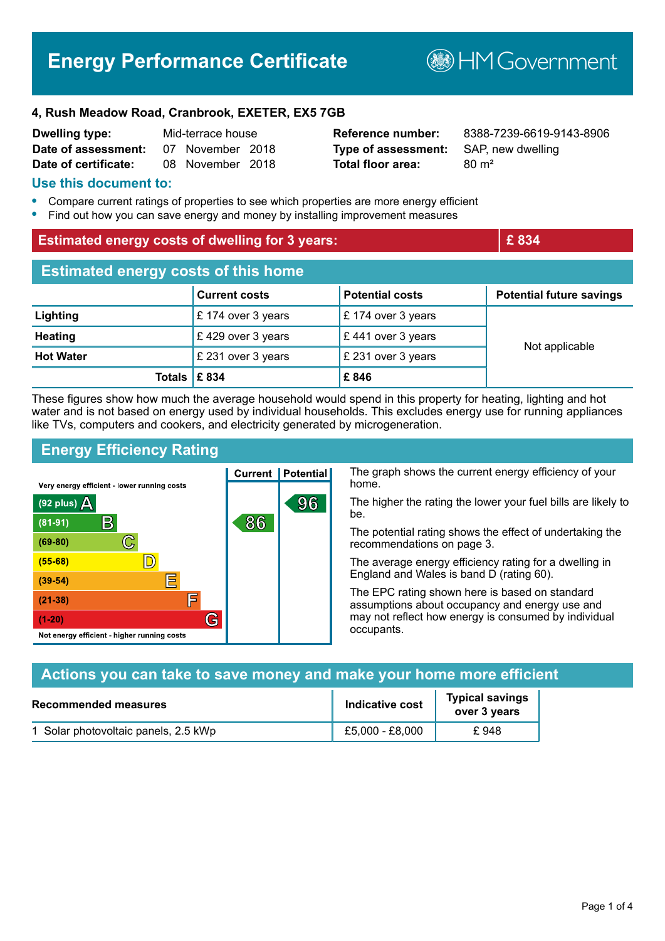# **Energy Performance Certificate**

**BHM Government** 

### **4, Rush Meadow Road, Cranbrook, EXETER, EX5 7GB**

| <b>Dwelling type:</b> | Mid-terrace house |                  |  |
|-----------------------|-------------------|------------------|--|
| Date of assessment:   |                   | 07 November 2018 |  |
| Date of certificate:  |                   | 08 November 2018 |  |

**Type of assessment:** SAP, new dwelling **Total floor area:** 80 m<sup>2</sup>

**Reference number:** 8388-7239-6619-9143-8906

### **Use this document to:**

- **•** Compare current ratings of properties to see which properties are more energy efficient
- **•** Find out how you can save energy and money by installing improvement measures

| <b>Estimated energy costs of dwelling for 3 years:</b> |                      | £834                          |                                 |  |
|--------------------------------------------------------|----------------------|-------------------------------|---------------------------------|--|
| <b>Estimated energy costs of this home</b>             |                      |                               |                                 |  |
|                                                        | <b>Current costs</b> | <b>Potential costs</b>        | <b>Potential future savings</b> |  |
| Lighting                                               | £ 174 over 3 years   | £ 174 over 3 years            |                                 |  |
| <b>Heating</b>                                         | £429 over 3 years    | $\mathsf E$ 441 over 3 years  | Not applicable                  |  |
| <b>Hot Water</b>                                       | £ 231 over 3 years   | $\mathsf{E}$ 231 over 3 years |                                 |  |
| Totals $\mathsf{E}$ 834                                |                      | £846                          |                                 |  |

These figures show how much the average household would spend in this property for heating, lighting and hot water and is not based on energy used by individual households. This excludes energy use for running appliances like TVs, computers and cookers, and electricity generated by microgeneration.

# **Energy Efficiency Rating**

Not energy efficient - higher running costs

(92 plus)  $\Delta$ 

 $(81 - 91)$  $(69 - 80)$ 

 $(55 - 68)$ 

 $(39 - 54)$ 

 $(21-38)$ 

 $(1-20)$ 

The graph shows the current energy efficiency of your **Current | Potential** home. Very energy efficient - lower running costs 96 The higher the rating the lower your fuel bills are likely to be.  $\mathsf{R}% _{\mathbb{Z}}\left( \mathbb{Z}\right)$ 86 The potential rating shows the effect of undertaking the  $\mathbb{C}$ recommendations on page 3.  $\mathbb{D}$ The average energy efficiency rating for a dwelling in England and Wales is band D (rating 60). 匼 The EPC rating shown here is based on standard 肩

assumptions about occupancy and energy use and may not reflect how energy is consumed by individual occupants.

| Actions you can take to save money and make your home more efficient |                        |                                  |  |
|----------------------------------------------------------------------|------------------------|----------------------------------|--|
| <b>Recommended measures</b>                                          | <b>Indicative cost</b> | <b>Typical savings</b><br>$\sim$ |  |

| Recommended measures                 | Indicative cost | <u>iyuvu vutiliy</u> v<br>over 3 years |
|--------------------------------------|-----------------|----------------------------------------|
| 1 Solar photovoltaic panels, 2.5 kWp | £5,000 - £8,000 | £ 948                                  |

G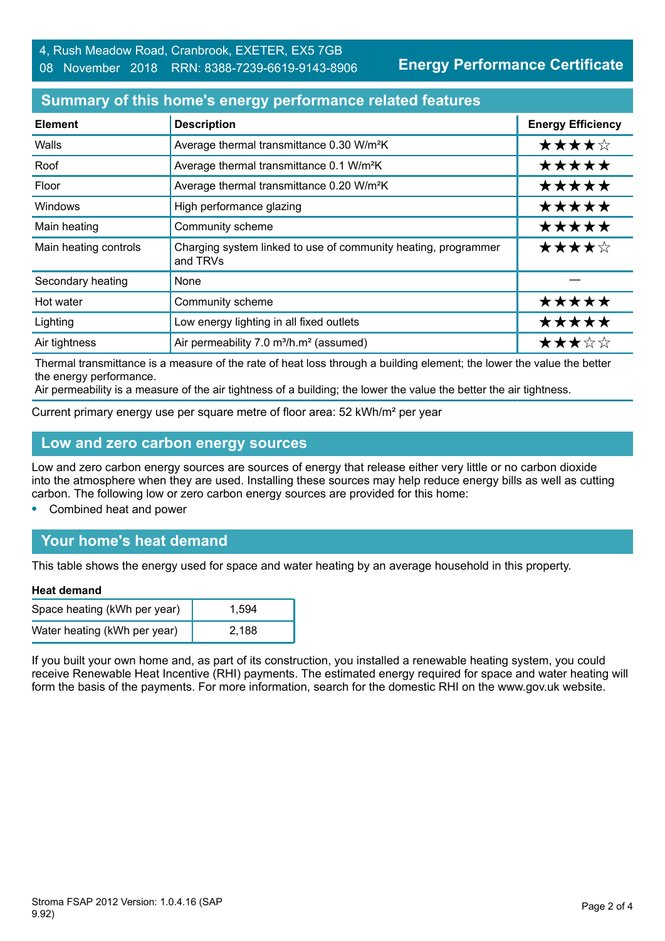**Energy Performance Certificate**

## **Summary of this home's energy performance related features**

| <b>Element</b>        | <b>Description</b>                                                         | <b>Energy Efficiency</b> |
|-----------------------|----------------------------------------------------------------------------|--------------------------|
| Walls                 | Average thermal transmittance 0.30 W/m <sup>2</sup> K                      | ★★★★☆                    |
| Roof                  | Average thermal transmittance 0.1 W/m <sup>2</sup> K                       | *****                    |
| Floor                 | Average thermal transmittance 0.20 W/m <sup>2</sup> K                      | *****                    |
| <b>Windows</b>        | High performance glazing                                                   | *****                    |
| Main heating          | Community scheme                                                           | *****                    |
| Main heating controls | Charging system linked to use of community heating, programmer<br>and TRVs | ★★★★☆                    |
| Secondary heating     | None                                                                       |                          |
| Hot water             | Community scheme                                                           | *****                    |
| Lighting              | Low energy lighting in all fixed outlets                                   | *****                    |
| Air tightness         | Air permeability 7.0 m <sup>3</sup> /h.m <sup>2</sup> (assumed)            | ★★★☆☆                    |

Thermal transmittance is a measure of the rate of heat loss through a building element; the lower the value the better the energy performance.

Air permeability is a measure of the air tightness of a building; the lower the value the better the air tightness.

Current primary energy use per square metre of floor area: 52 kWh/m² per year

### **Low and zero carbon energy sources**

Low and zero carbon energy sources are sources of energy that release either very little or no carbon dioxide into the atmosphere when they are used. Installing these sources may help reduce energy bills as well as cutting carbon. The following low or zero carbon energy sources are provided for this home:

**•** Combined heat and power

# **Your home's heat demand**

This table shows the energy used for space and water heating by an average household in this property.

#### **Heat demand**

| Space heating (kWh per year) | 1.594 |
|------------------------------|-------|
| Water heating (kWh per year) | 2.188 |

If you built your own home and, as part of its construction, you installed a renewable heating system, you could receive Renewable Heat Incentive (RHI) payments. The estimated energy required for space and water heating will form the basis of the payments. For more information, search for the domestic RHI on the www.gov.uk website.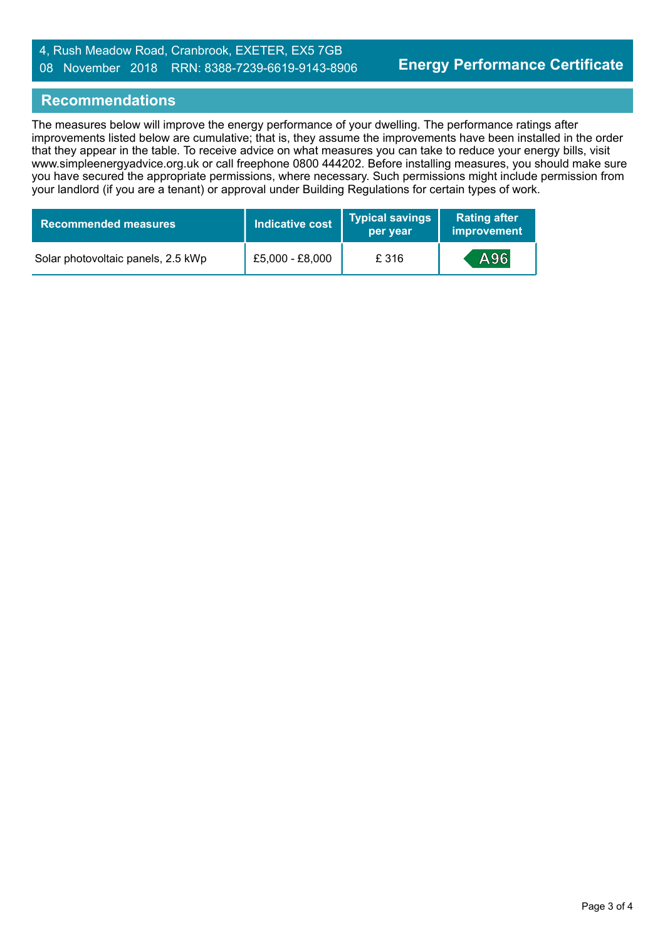### 4, Rush Meadow Road, Cranbrook, EXETER, EX5 7GB 08 November 2018 RRN: 8388-7239-6619-9143-8906

### **Recommendations**

The measures below will improve the energy performance of your dwelling. The performance ratings after improvements listed below are cumulative; that is, they assume the improvements have been installed in the order that they appear in the table. To receive advice on what measures you can take to reduce your energy bills, visit www.simpleenergyadvice.org.uk or call freephone 0800 444202. Before installing measures, you should make sure you have secured the appropriate permissions, where necessary. Such permissions might include permission from your landlord (if you are a tenant) or approval under Building Regulations for certain types of work.

| <b>Recommended measures</b>        | Indicative cost | <b>Typical savings</b><br>per year | <b>Rating after</b><br>improvement |
|------------------------------------|-----------------|------------------------------------|------------------------------------|
| Solar photovoltaic panels, 2.5 kWp | £5,000 - £8,000 | £316                               | A96                                |